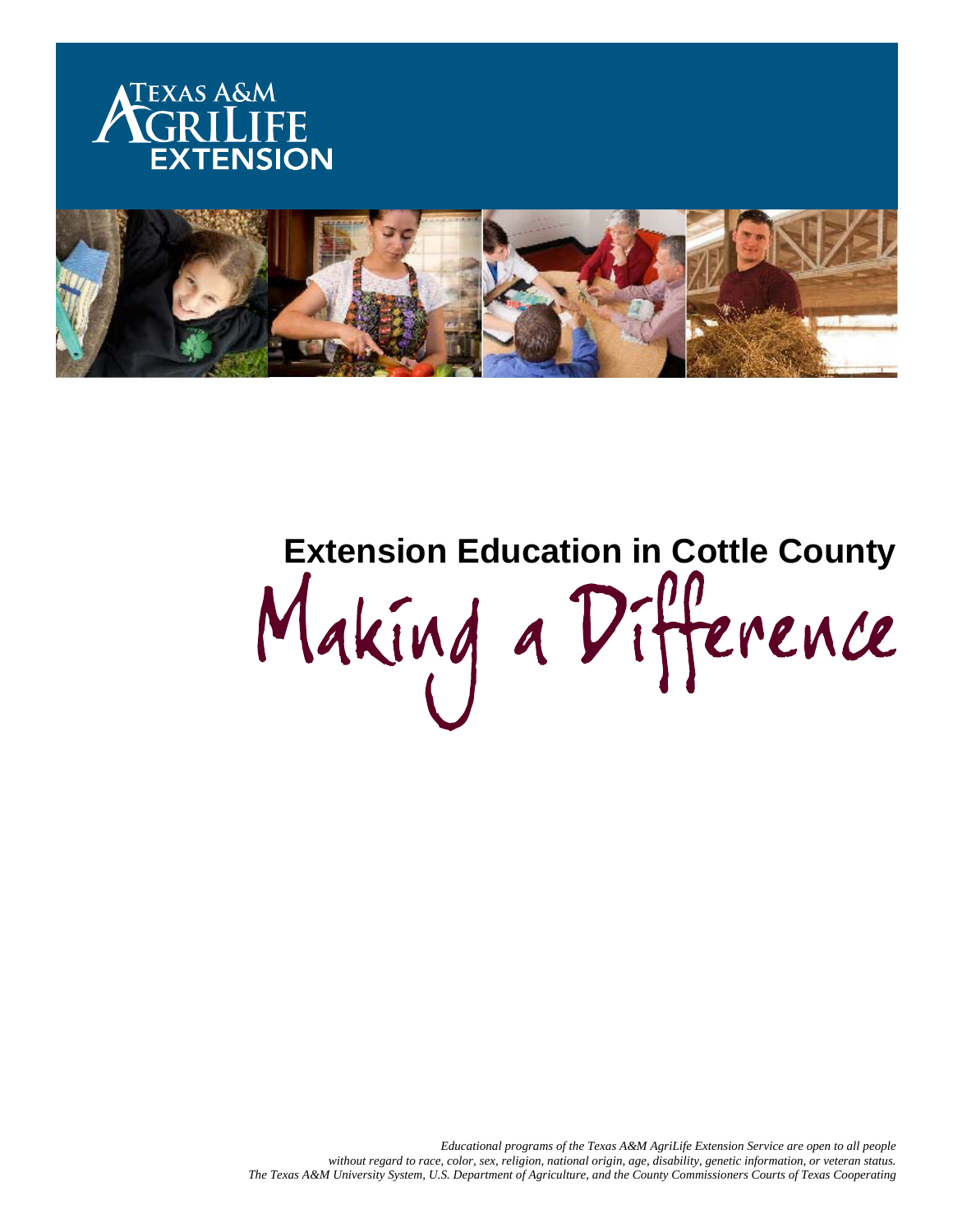



# Extension Education in Cottle County<br>Making a Difference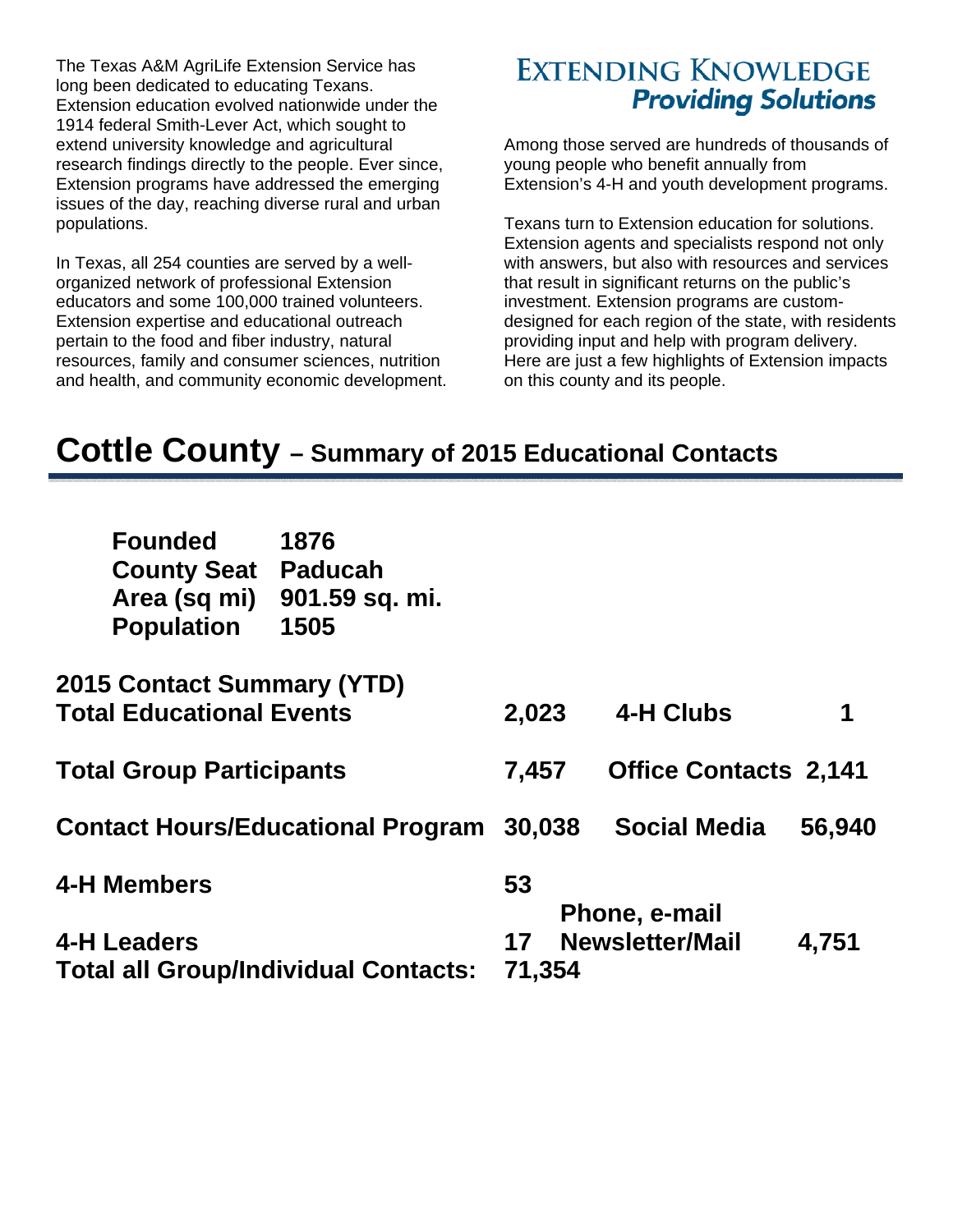The Texas A&M AgriLife Extension Service has long been dedicated to educating Texans. Extension education evolved nationwide under the 1914 federal Smith-Lever Act, which sought to extend university knowledge and agricultural research findings directly to the people. Ever since, Extension programs have addressed the emerging issues of the day, reaching diverse rural and urban populations.

In Texas, all 254 counties are served by a wellorganized network of professional Extension educators and some 100,000 trained volunteers. Extension expertise and educational outreach pertain to the food and fiber industry, natural resources, family and consumer sciences, nutrition and health, and community economic development.

### **EXTENDING KNOWLEDGE Providing Solutions**

Among those served are hundreds of thousands of young people who benefit annually from Extension's 4-H and youth development programs.

Texans turn to Extension education for solutions. Extension agents and specialists respond not only with answers, but also with resources and services that result in significant returns on the public's investment. Extension programs are customdesigned for each region of the state, with residents providing input and help with program delivery. Here are just a few highlights of Extension impacts on this county and its people.

## **Cottle County – Summary of 2015 Educational Contacts**

| <b>Founded</b><br><b>County Seat</b><br>Area (sq mi)<br><b>Population</b> | 1876<br><b>Paducah</b><br>901.59 sq. mi.<br>1505 |        |  |                              |        |
|---------------------------------------------------------------------------|--------------------------------------------------|--------|--|------------------------------|--------|
| <b>2015 Contact Summary (YTD)</b><br><b>Total Educational Events</b>      |                                                  | 2,023  |  | 4-H Clubs                    | 1      |
| <b>Total Group Participants</b>                                           |                                                  | 7,457  |  | <b>Office Contacts 2,141</b> |        |
|                                                                           | <b>Contact Hours/Educational Program</b>         | 30,038 |  | <b>Social Media</b>          | 56,940 |
| <b>4-H Members</b>                                                        |                                                  | 53     |  | Phone, e-mail                |        |
| <b>4-H Leaders</b>                                                        |                                                  | 17     |  | <b>Newsletter/Mail</b>       | 4,751  |
| <b>Total all Group/Individual Contacts:</b>                               |                                                  | 71,354 |  |                              |        |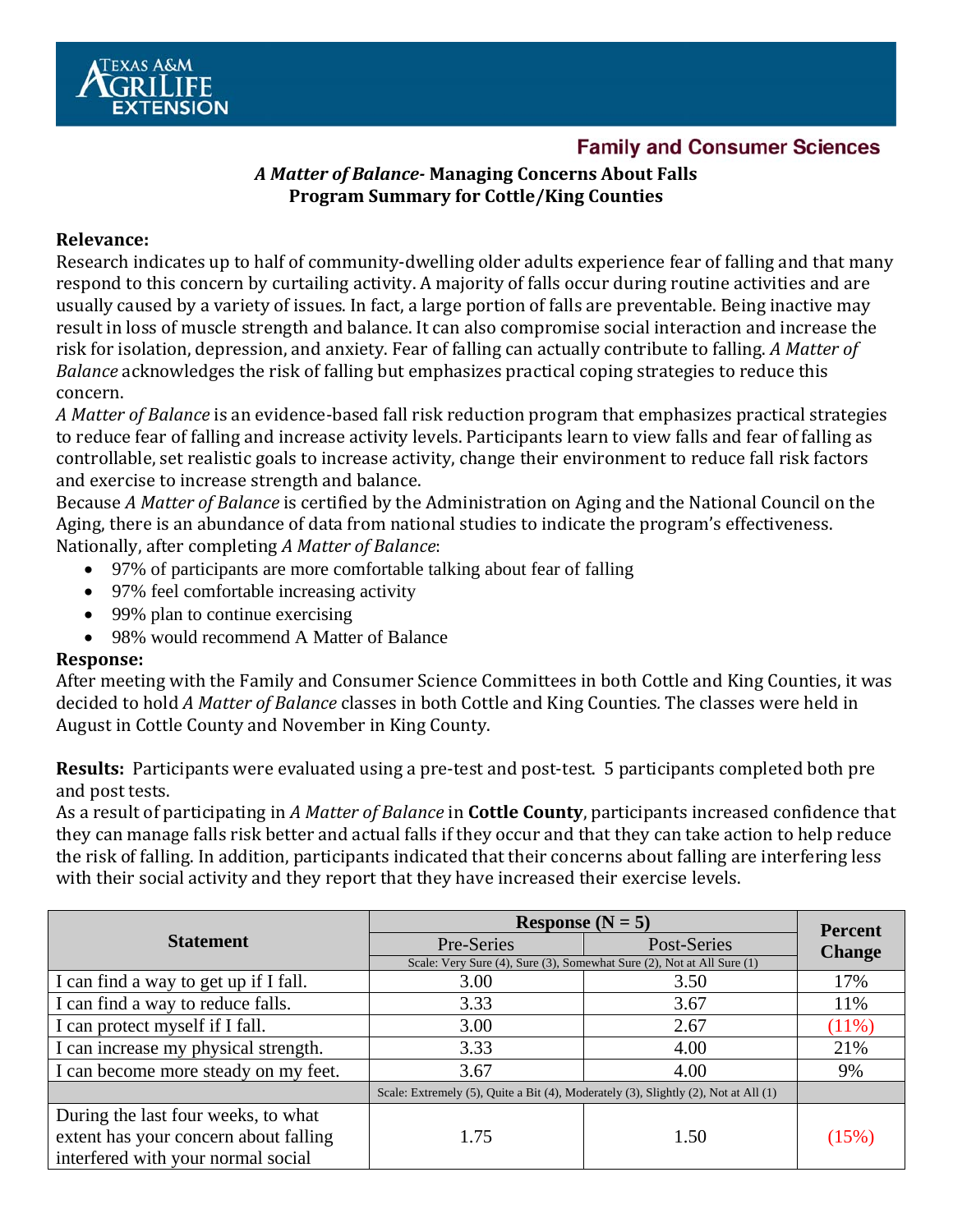

#### **Family and Consumer Sciences**

#### *A Matter of Balance‐* **Managing Concerns About Falls Program Summary for Cottle/King Counties**

#### **Relevance:**

Research indicates up to half of community-dwelling older adults experience fear of falling and that many respond to this concern by curtailing activity. A majority of falls occur during routine activities and are usually caused by a variety of issues. In fact, a large portion of falls are preventable. Being inactive may result in loss of muscle strength and balance. It can also compromise social interaction and increase the risk for isolation, depression, and anxiety. Fear of falling can actually contribute to falling. A Matter of *Balance* acknowledges the risk of falling but emphasizes practical coping strategies to reduce this concern. 

A *Matter* of *Balance* is an evidence-based fall risk reduction program that emphasizes practical strategies to reduce fear of falling and increase activity levels. Participants learn to view falls and fear of falling as controllable, set realistic goals to increase activity, change their environment to reduce fall risk factors and exercise to increase strength and balance.

Because *A Matter of Balance* is certified by the Administration on Aging and the National Council on the Aging, there is an abundance of data from national studies to indicate the program's effectiveness. Nationally, after completing *A Matter of Balance*: 

- 97% of participants are more comfortable talking about fear of falling
- 97% feel comfortable increasing activity
- 99% plan to continue exercising
- 98% would recommend A Matter of Balance

#### **Response:**

After meeting with the Family and Consumer Science Committees in both Cottle and King Counties, it was decided to hold *A Matter of Balance* classes in both Cottle and King Counties. The classes were held in August in Cottle County and November in King County.

**Results:** Participants were evaluated using a pre-test and post-test. 5 participants completed both pre and post tests.

As a result of participating in A Matter of Balance in **Cottle County**, participants increased confidence that they can manage falls risk better and actual falls if they occur and that they can take action to help reduce the risk of falling. In addition, participants indicated that their concerns about falling are interfering less with their social activity and they report that they have increased their exercise levels.

|                                       | Response $(N = 5)$                                                                  | <b>Percent</b> |               |
|---------------------------------------|-------------------------------------------------------------------------------------|----------------|---------------|
| <b>Statement</b>                      | Pre-Series                                                                          | Post-Series    | <b>Change</b> |
|                                       | Scale: Very Sure (4), Sure (3), Somewhat Sure (2), Not at All Sure (1)              |                |               |
| I can find a way to get up if I fall. | 3.00                                                                                | 3.50           | 17%           |
| I can find a way to reduce falls.     | 3.33                                                                                | 3.67           | 11%           |
| I can protect myself if I fall.       | 3.00                                                                                | 2.67           | (11%)         |
| I can increase my physical strength.  | 3.33                                                                                | 4.00           | 21%           |
| I can become more steady on my feet.  | 3.67                                                                                | 4.00           | 9%            |
|                                       | Scale: Extremely (5), Quite a Bit (4), Moderately (3), Slightly (2), Not at All (1) |                |               |
| During the last four weeks, to what   |                                                                                     |                |               |
| extent has your concern about falling | 1.75                                                                                | 1.50           | (15%)         |
| interfered with your normal social    |                                                                                     |                |               |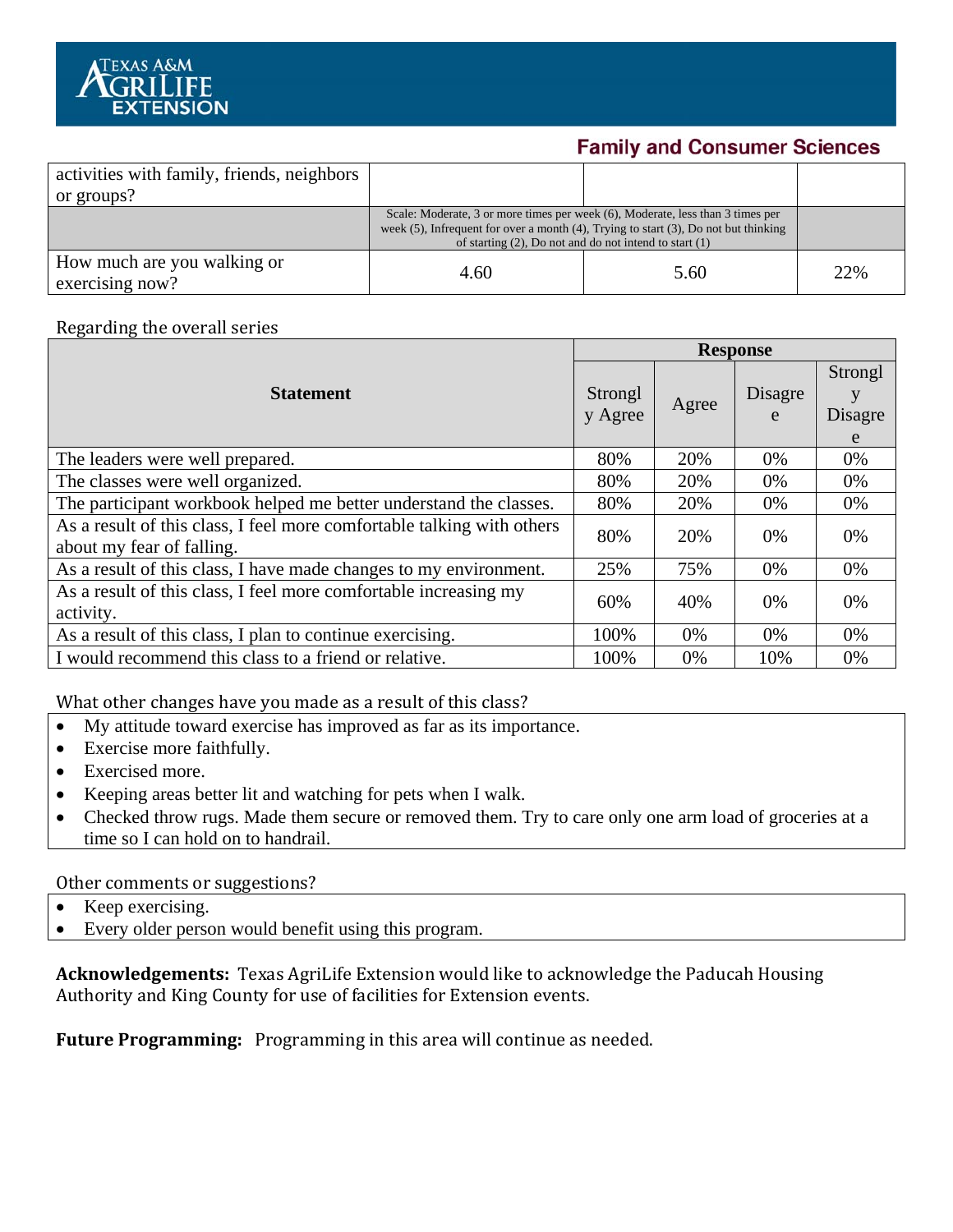

#### **Family and Consumer Sciences**

| activities with family, friends, neighbors     |                                                                                                                                                                                                                                               |      |     |
|------------------------------------------------|-----------------------------------------------------------------------------------------------------------------------------------------------------------------------------------------------------------------------------------------------|------|-----|
| or groups?                                     |                                                                                                                                                                                                                                               |      |     |
|                                                | Scale: Moderate, 3 or more times per week (6), Moderate, less than 3 times per<br>week $(5)$ , Infrequent for over a month $(4)$ , Trying to start $(3)$ , Do not but thinking<br>of starting $(2)$ , Do not and do not intend to start $(1)$ |      |     |
| How much are you walking or<br>exercising now? | 4.60                                                                                                                                                                                                                                          | 5.60 | 22% |

#### Regarding the overall series

|                                                                                                     |                    | <b>Response</b> |              |                         |  |
|-----------------------------------------------------------------------------------------------------|--------------------|-----------------|--------------|-------------------------|--|
| <b>Statement</b>                                                                                    | Strongl<br>y Agree | Agree           | Disagre<br>e | Strongl<br>Disagre<br>e |  |
| The leaders were well prepared.                                                                     | 80%                | 20%             | 0%           | 0%                      |  |
| The classes were well organized.                                                                    | 80%                | 20%             | 0%           | 0%                      |  |
| The participant workbook helped me better understand the classes.                                   | 80%                | 20%             | 0%           | 0%                      |  |
| As a result of this class, I feel more comfortable talking with others<br>about my fear of falling. | 80%                | 20%             | 0%           | 0%                      |  |
| As a result of this class, I have made changes to my environment.                                   | 25%                | 75%             | 0%           | $0\%$                   |  |
| As a result of this class, I feel more comfortable increasing my<br>activity.                       | 60%                | 40%             | 0%           | 0%                      |  |
| As a result of this class, I plan to continue exercising.                                           | 100%               | $0\%$           | $0\%$        | $0\%$                   |  |
| I would recommend this class to a friend or relative.                                               | 100%               | $0\%$           | 10%          | $0\%$                   |  |

What other changes have you made as a result of this class?

- My attitude toward exercise has improved as far as its importance.
- Exercise more faithfully.
- Exercised more.
- Keeping areas better lit and watching for pets when I walk.
- Checked throw rugs. Made them secure or removed them. Try to care only one arm load of groceries at a time so I can hold on to handrail.

#### Other comments or suggestions?

- Keep exercising.
- Every older person would benefit using this program.

**Acknowledgements:** Texas AgriLife Extension would like to acknowledge the Paducah Housing Authority and King County for use of facilities for Extension events.

**Future Programming:** Programming in this area will continue as needed.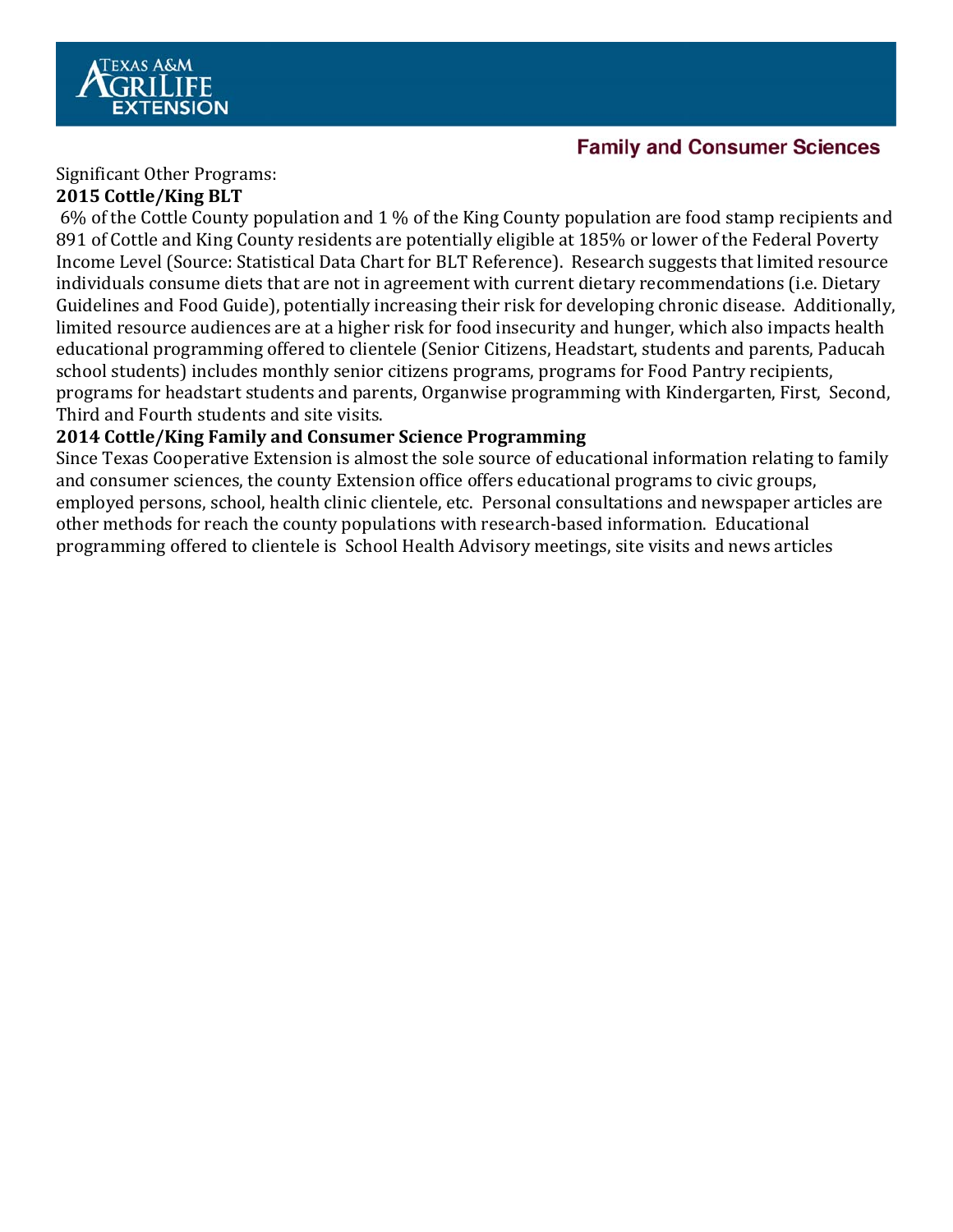

#### **Family and Consumer Sciences**

Significant Other Programs:

#### **2015 Cottle/King BLT**

6% of the Cottle County population and 1 % of the King County population are food stamp recipients and 891 of Cottle and King County residents are potentially eligible at 185% or lower of the Federal Poverty Income Level (Source: Statistical Data Chart for BLT Reference). Research suggests that limited resource individuals consume diets that are not in agreement with current dietary recommendations (i.e. Dietary Guidelines and Food Guide), potentially increasing their risk for developing chronic disease. Additionally, limited resource audiences are at a higher risk for food insecurity and hunger, which also impacts health educational programming offered to clientele (Senior Citizens, Headstart, students and parents, Paducah school students) includes monthly senior citizens programs, programs for Food Pantry recipients, programs for headstart students and parents, Organwise programming with Kindergarten, First, Second, Third and Fourth students and site visits.

#### **2014 Cottle/King Family and Consumer Science Programming**

Since Texas Cooperative Extension is almost the sole source of educational information relating to family and consumer sciences, the county Extension office offers educational programs to civic groups, employed persons, school, health clinic clientele, etc. Personal consultations and newspaper articles are other methods for reach the county populations with research-based information. Educational programming offered to clientele is School Health Advisory meetings, site visits and news articles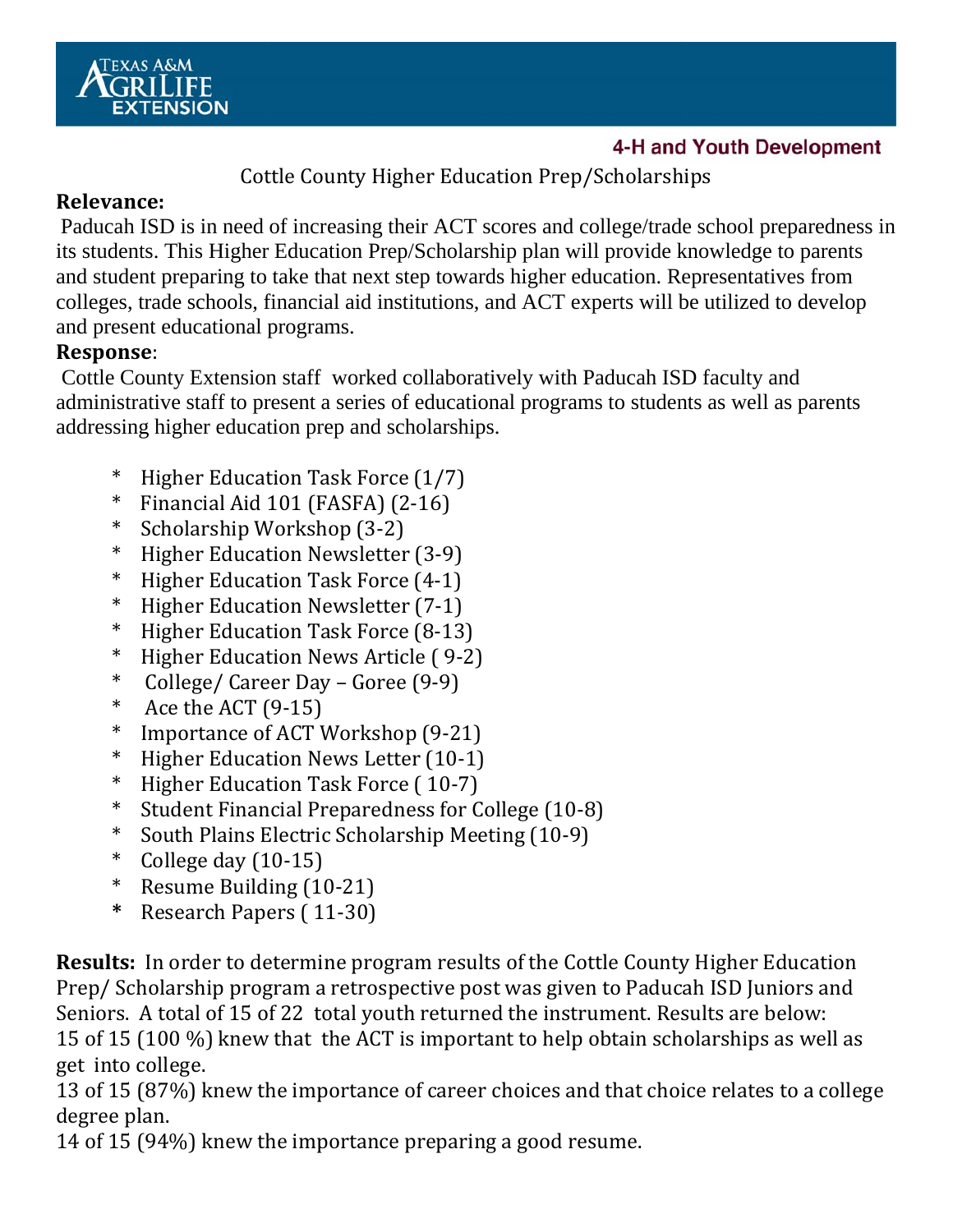

#### 4-H and Youth Development

Cottle County Higher Education Prep/Scholarships

#### **Relevance:**

Paducah ISD is in need of increasing their ACT scores and college/trade school preparedness in its students. This Higher Education Prep/Scholarship plan will provide knowledge to parents and student preparing to take that next step towards higher education. Representatives from colleges, trade schools, financial aid institutions, and ACT experts will be utilized to develop and present educational programs.

#### **Response**:

 Cottle County Extension staff worked collaboratively with Paducah ISD faculty and administrative staff to present a series of educational programs to students as well as parents addressing higher education prep and scholarships.

- $*$  Higher Education Task Force  $(1/7)$
- $*$  Financial Aid 101 (FASFA) (2-16)
- \* Scholarship Workshop (3‐2)
- \* Higher Education Newsletter (3‐9)
- $*$  Higher Education Task Force  $(4-1)$
- \* Higher Education Newsletter (7‐1)
- $*$  Higher Education Task Force  $(8-13)$
- \* Higher Education News Article ( 9‐2)
- \* College/ Career Day – Goree (9‐9)
- \* Ace the ACT  $(9-15)$
- $*$  Importance of ACT Workshop  $(9-21)$
- \* Higher Education News Letter (10‐1)
- $*$  Higher Education Task Force  $(10-7)$
- \* Student Financial Preparedness for College (10‐8)
- \* South Plains Electric Scholarship Meeting (10‐9)
- College day  $(10-15)$
- $*$  Resume Building  $(10-21)$
- **\*** Research Papers ( 11‐30)

**Results:** In order to determine program results of the Cottle County Higher Education Prep/ Scholarship program a retrospective post was given to Paducah ISD Juniors and Seniors. A total of 15 of 22 total youth returned the instrument. Results are below: 15 of 15 (100  $\%$ ) knew that the ACT is important to help obtain scholarships as well as get into college.

13 of 15 (87%) knew the importance of career choices and that choice relates to a college degree plan.

14 of 15 (94%) knew the importance preparing a good resume.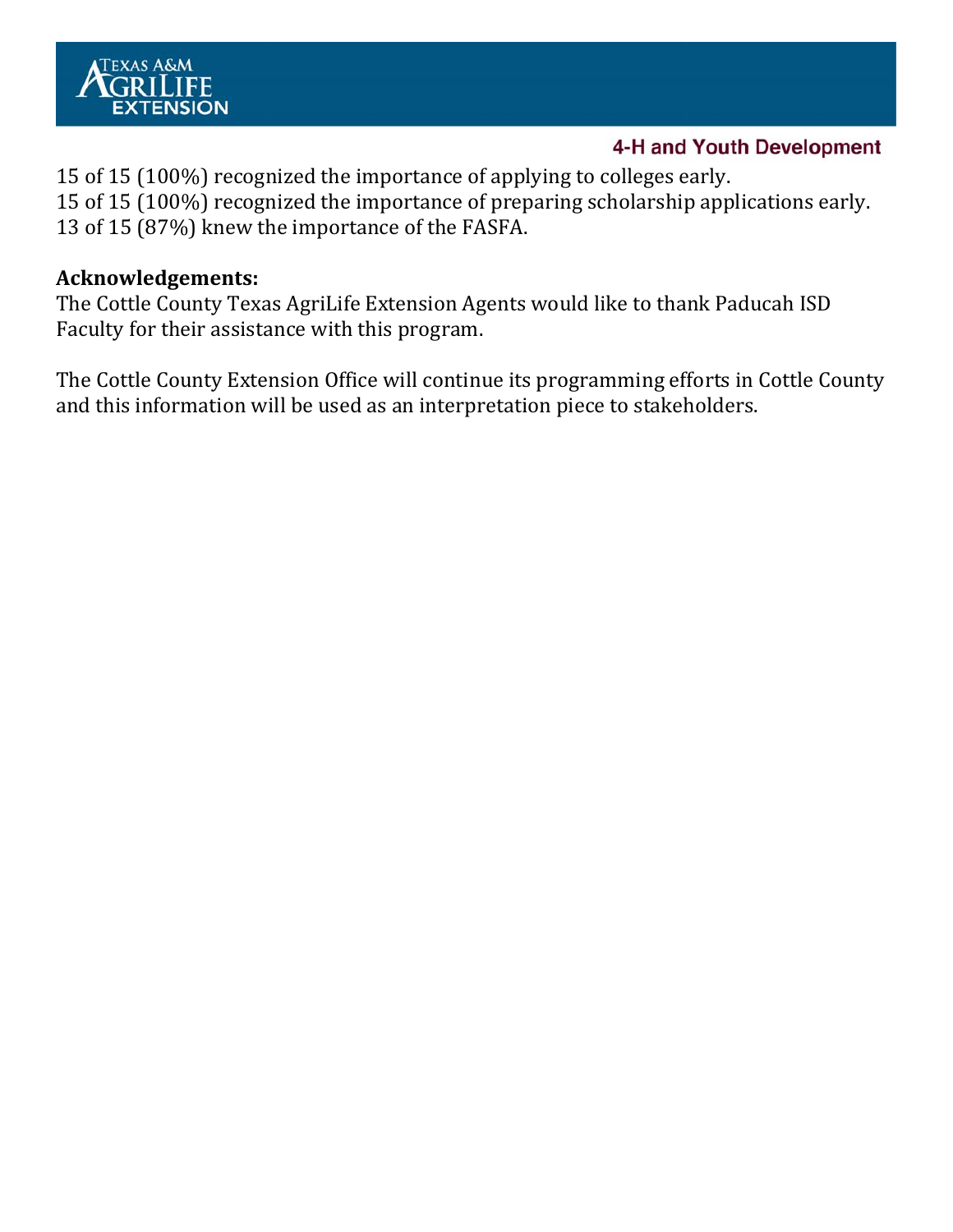

#### 4-H and Youth Development

15 of 15 (100%) recognized the importance of applying to colleges early. 15 of 15 (100%) recognized the importance of preparing scholarship applications early. 13 of 15 (87%) knew the importance of the FASFA.

#### **Acknowledgements:**

The Cottle County Texas AgriLife Extension Agents would like to thank Paducah ISD Faculty for their assistance with this program.

The Cottle County Extension Office will continue its programming efforts in Cottle County and this information will be used as an interpretation piece to stakeholders.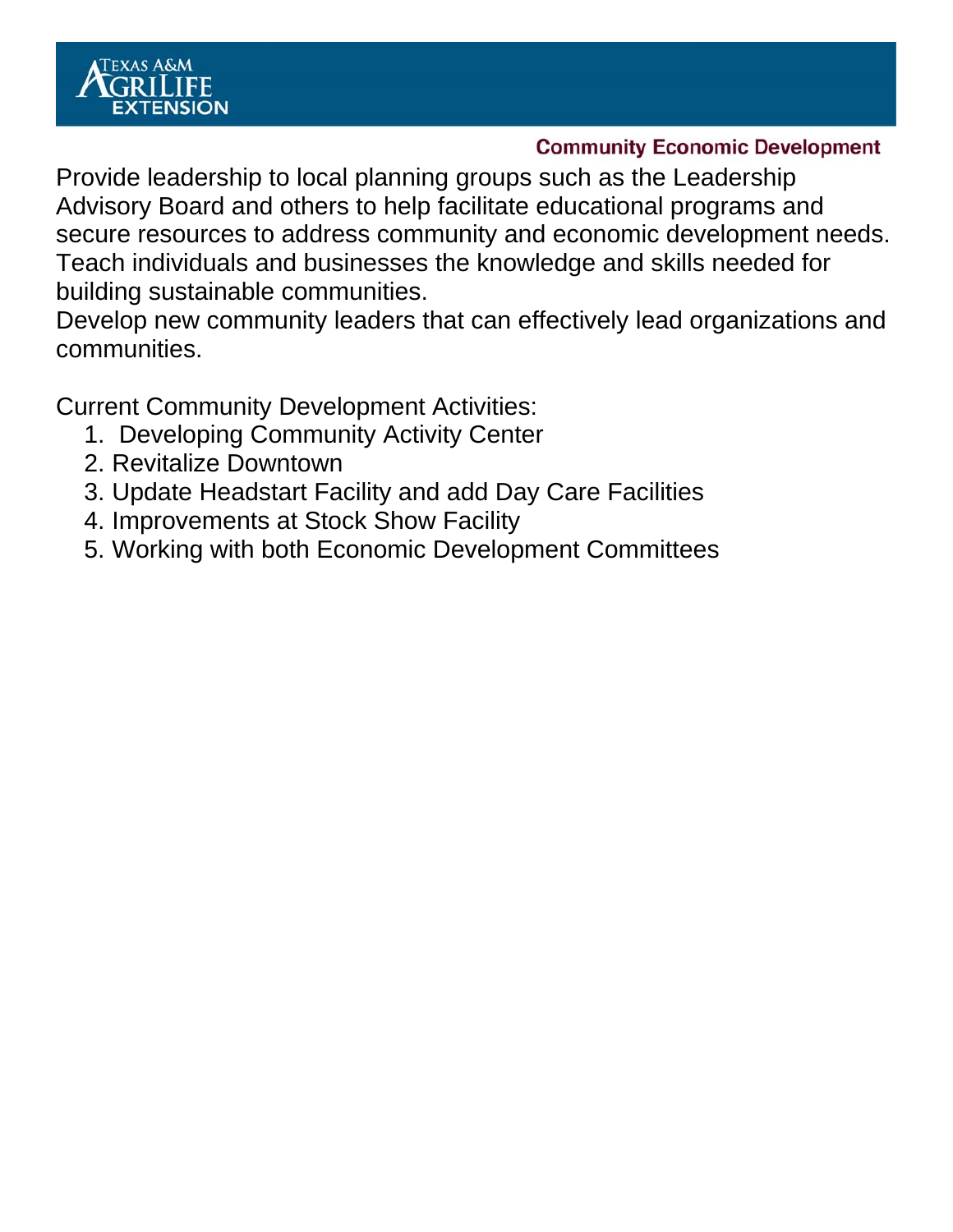

#### **Community Economic Development**

Provide leadership to local planning groups such as the Leadership Advisory Board and others to help facilitate educational programs and secure resources to address community and economic development needs. Teach individuals and businesses the knowledge and skills needed for building sustainable communities.

Develop new community leaders that can effectively lead organizations and communities.

Current Community Development Activities:

- 1. Developing Community Activity Center
- 2. Revitalize Downtown
- 3. Update Headstart Facility and add Day Care Facilities
- 4. Improvements at Stock Show Facility
- 5. Working with both Economic Development Committees